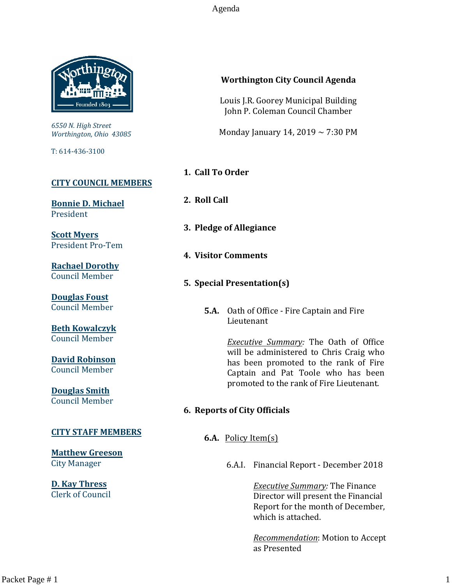Agenda



*6550 N. High Street Worthington, Ohio 43085*

T: 614-436-3100

#### **[CITY COUNCIL MEMBERS](mailto:CityCouncil@ci.worthington.oh.us?subject=Email%20from%20City%20Council%20Meeting%20Agenda%20Link)**

**[Bonnie D. Michael](mailto:bmichael@ci.worthington.oh.us?subject=Email%20from%20City%20Council%20Meeting%20Agenda%20Link)** President

**[Scott Myers](mailto:smyers@ci.worthington.oh.us?subject=Email%20from%20City%20Council%20Meeting%20Agenda%20Link)** President Pro-Tem

**[Rachael Dorothy](mailto:rdorothy@ci.worthington.oh.us?subject=Email%20from%20City%20Council%20Meeting%20Agenda%20Link)** Council Member

**[Douglas Foust](mailto:Doug.Foust@ci.worthington.oh.us?subject=Email%20from%20City%20Council%20Meeting%20Agenda%20Link)** Council Member

**[Beth Kowalczyk](mailto:BKowalczyk@ci.worthington.oh.us)** Council Member

**[David Robinson](mailto:DRobinson@ci.worthington.oh.us)** Council Member

**[Douglas Smith](mailto:DSmith@ci.worthington.oh.us?subject=Email%20from%20City%20Council%20Meeting%20Agenda%20Link)** Council Member

#### **[CITY STAFF MEMBERS](mailto:Council@ci.worthington.oh.us?subject=Email%20from%20City%20Council%20Meeting%20Agenda%20Link)**

**[Matthew Greeson](mailto:MGreeson@ci.worthington.oh.us?subject=Email%20from%20City%20Council%20Meeting%20Agenda%20Link)** City Manager

**[D. Kay Thress](mailto:DThress@ci.worthington.oh.us?subject=Email%20from%20City%20Council%20Meeting%20Agenda%20Link)** Clerk of Council

#### **Worthington City Council Agenda**

Louis J.R. Goorey Municipal Building John P. Coleman Council Chamber

Monday January 14, 2019 ~ 7:30 PM

- **1. Call To Order**
- **2. Roll Call**
- **3. Pledge of Allegiance**
- **4. Visitor Comments**
- **5. Special Presentation(s)**
	- **5.A.** Oath of Office Fire Captain and Fire Lieutenant

*Executive Summary:* The Oath of Office will be administered to Chris Craig who has been promoted to the rank of Fire Captain and Pat Toole who has been promoted to the rank of Fire Lieutenant.

#### **6. Reports of City Officials**

**6.A.** Policy Item(s)

6.A.I. Financial Report - December 2018

*Executive Summary:* The Finance Director will present the Financial Report for the month of December, which is attached.

*Recommendation*: Motion to Accept as Presented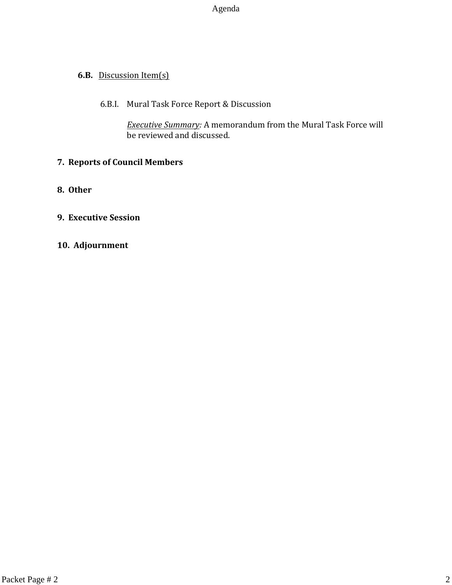Agenda

### **6.B.** Discussion Item(s)

### 6.B.I. Mural Task Force Report & Discussion

*Executive Summary:* A memorandum from the Mural Task Force will be reviewed and discussed.

### **7. Reports of Council Members**

**8. Other**

### **9. Executive Session**

**10. Adjournment**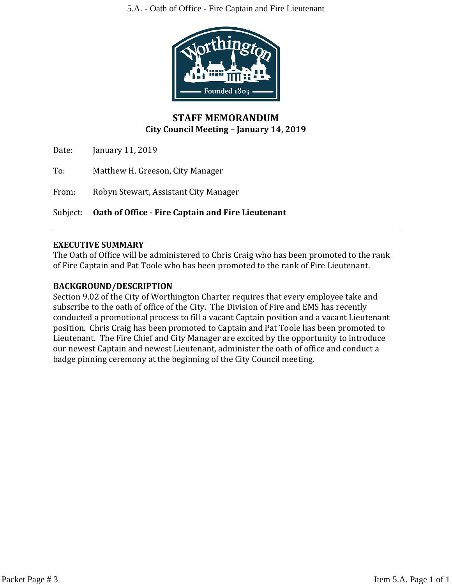5.A. - Oath of Office - Fire Captain and Fire Lieutenant



## **STAFF MEMORANDUM City Council Meeting – January 14, 2019**

Date: January 11, 2019

To: Matthew H. Greeson, City Manager

From: Robyn Stewart, Assistant City Manager

Subject: **Oath of Office - Fire Captain and Fire Lieutenant**

#### **EXECUTIVE SUMMARY**

The Oath of Office will be administered to Chris Craig who has been promoted to the rank of Fire Captain and Pat Toole who has been promoted to the rank of Fire Lieutenant.

### **BACKGROUND/DESCRIPTION**

Section 9.02 of the City of Worthington Charter requires that every employee take and subscribe to the oath of office of the City. The Division of Fire and EMS has recently conducted a promotional process to fill a vacant Captain position and a vacant Lieutenant position. Chris Craig has been promoted to Captain and Pat Toole has been promoted to Lieutenant. The Fire Chief and City Manager are excited by the opportunity to introduce our newest Captain and newest Lieutenant, administer the oath of office and conduct a badge pinning ceremony at the beginning of the City Council meeting.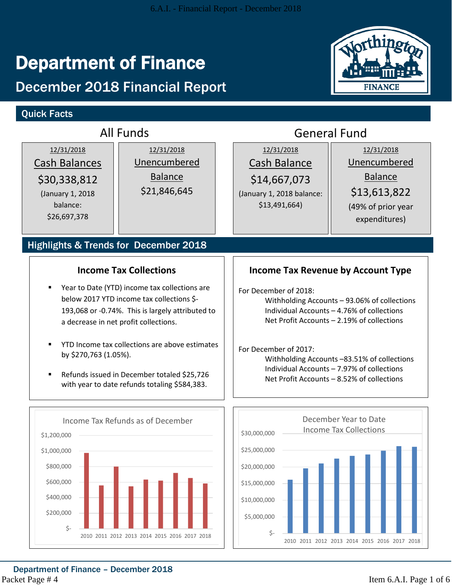# Department of Finance

# December 2018 Financial Report

# Quick Facts



|                                                                                                    | <b>All Funds</b>                                                                                                                                                                        | <b>General Fund</b>                                                                                                                                               |                                                                                          |                                                                                                     |  |  |  |  |
|----------------------------------------------------------------------------------------------------|-----------------------------------------------------------------------------------------------------------------------------------------------------------------------------------------|-------------------------------------------------------------------------------------------------------------------------------------------------------------------|------------------------------------------------------------------------------------------|-----------------------------------------------------------------------------------------------------|--|--|--|--|
| 12/31/2018<br><b>Cash Balances</b><br>\$30,338,812<br>(January 1, 2018<br>balance:<br>\$26,697,378 | 12/31/2018<br>Unencumbered<br><b>Balance</b><br>\$21,846,645                                                                                                                            |                                                                                                                                                                   | 12/31/2018<br>Cash Balance<br>\$14,667,073<br>(January 1, 2018 balance:<br>\$13,491,664) | 12/31/2018<br>Unencumbered<br><b>Balance</b><br>\$13,613,822<br>(49% of prior year<br>expenditures) |  |  |  |  |
|                                                                                                    | Highlights & Trends for December 2018                                                                                                                                                   |                                                                                                                                                                   |                                                                                          |                                                                                                     |  |  |  |  |
|                                                                                                    | <b>Income Tax Collections</b>                                                                                                                                                           |                                                                                                                                                                   |                                                                                          | <b>Income Tax Revenue by Account Type</b>                                                           |  |  |  |  |
| $\blacksquare$                                                                                     | Year to Date (YTD) income tax collections are<br>below 2017 YTD income tax collections \$-<br>193,068 or -0.74%. This is largely attributed to<br>a decrease in net profit collections. | For December of 2018:<br>Withholding Accounts - 93.06% of collections<br>Individual Accounts - 4.76% of collections<br>Net Profit Accounts - 2.19% of collections |                                                                                          |                                                                                                     |  |  |  |  |
| by \$270,763 (1.05%).<br>$\blacksquare$                                                            | YTD Income tax collections are above estimates<br>Refunds issued in December totaled \$25,726<br>with year to date refunds totaling \$584,383.                                          | For December of 2017:<br>Withholding Accounts -83.51% of collections<br>Individual Accounts - 7.97% of collections<br>Net Profit Accounts - 8.52% of collections  |                                                                                          |                                                                                                     |  |  |  |  |
|                                                                                                    | Income Tax Refunds as of December                                                                                                                                                       |                                                                                                                                                                   |                                                                                          | December Year to Date                                                                               |  |  |  |  |
| \$1,200,000                                                                                        |                                                                                                                                                                                         | \$30,000,000                                                                                                                                                      |                                                                                          | <b>Income Tax Collections</b>                                                                       |  |  |  |  |
| \$1,000,000<br>\$800,000<br>\$600,000<br>\$400,000<br>\$200,000<br>$\zeta$ -                       | 2010 2011 2012 2013 2014 2015 2016 2017 2018                                                                                                                                            | \$25,000,000<br>\$20,000,000<br>\$15,000,000<br>\$10,000,000<br>\$5,000,000<br>$\zeta$ -                                                                          |                                                                                          | 2010 2011 2012 2013 2014 2015 2016 2017 2018                                                        |  |  |  |  |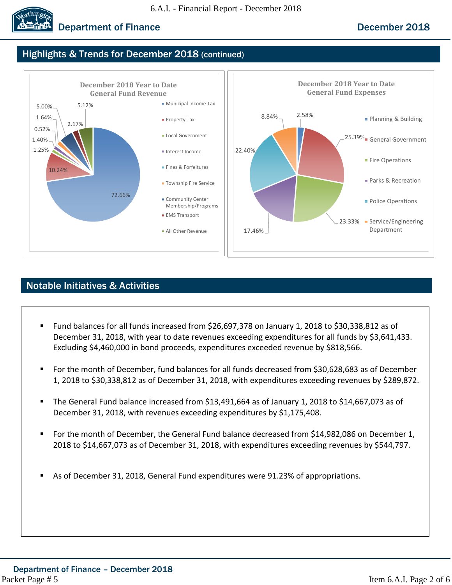

# **Department of Finance December 2018**

# Highlights & Trends for December 2018 (continued)



# Notable Initiatives & Activities

- Fund balances for all funds increased from \$26,697,378 on January 1, 2018 to \$30,338,812 as of December 31, 2018, with year to date revenues exceeding expenditures for all funds by \$3,641,433. Excluding \$4,460,000 in bond proceeds, expenditures exceeded revenue by \$818,566.
- For the month of December, fund balances for all funds decreased from \$30,628,683 as of December 1, 2018 to \$30,338,812 as of December 31, 2018, with expenditures exceeding revenues by \$289,872.
- The General Fund balance increased from \$13,491,664 as of January 1, 2018 to \$14,667,073 as of December 31, 2018, with revenues exceeding expenditures by \$1,175,408.
- For the month of December, the General Fund balance decreased from \$14,982,086 on December 1, 2018 to \$14,667,073 as of December 31, 2018, with expenditures exceeding revenues by \$544,797.
- As of December 31, 2018, General Fund expenditures were 91.23% of appropriations.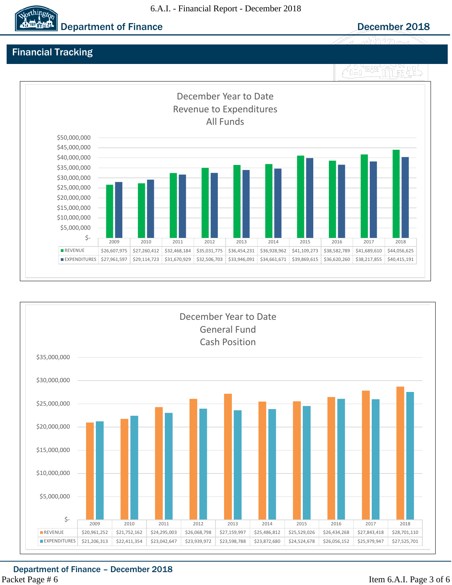#### 6.A.I. - Financial Report - December 2018



# Financial Tracking





Department of Finance – December 2018 Packet Page # 6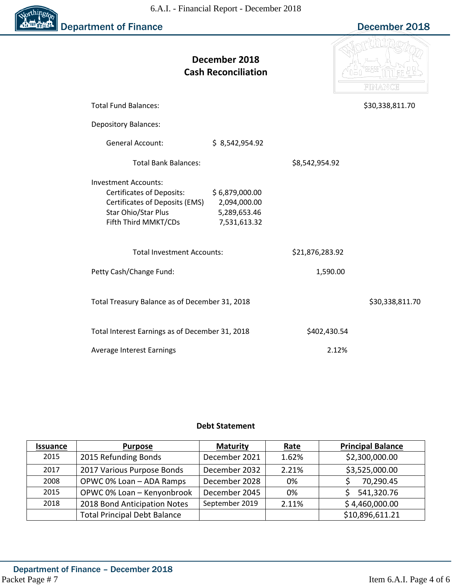

|                                                                                                                                                  | December 2018<br><b>Cash Reconciliation</b>                    |                 | FINANCE         |
|--------------------------------------------------------------------------------------------------------------------------------------------------|----------------------------------------------------------------|-----------------|-----------------|
| <b>Total Fund Balances:</b>                                                                                                                      |                                                                |                 | \$30,338,811.70 |
| <b>Depository Balances:</b>                                                                                                                      |                                                                |                 |                 |
| <b>General Account:</b>                                                                                                                          | \$8,542,954.92                                                 |                 |                 |
| <b>Total Bank Balances:</b>                                                                                                                      |                                                                | \$8,542,954.92  |                 |
| <b>Investment Accounts:</b><br><b>Certificates of Deposits:</b><br>Certificates of Deposits (EMS)<br>Star Ohio/Star Plus<br>Fifth Third MMKT/CDs | \$6,879,000.00<br>2,094,000.00<br>5,289,653.46<br>7,531,613.32 |                 |                 |
| <b>Total Investment Accounts:</b>                                                                                                                |                                                                | \$21,876,283.92 |                 |
| Petty Cash/Change Fund:                                                                                                                          |                                                                | 1,590.00        |                 |
| Total Treasury Balance as of December 31, 2018                                                                                                   |                                                                |                 | \$30,338,811.70 |
| Total Interest Earnings as of December 31, 2018                                                                                                  |                                                                | \$402,430.54    |                 |
| <b>Average Interest Earnings</b>                                                                                                                 |                                                                | 2.12%           |                 |

#### **Debt Statement**

| <b>Issuance</b> | <b>Purpose</b>                      | <b>Maturity</b> | <u>Rate</u> | <b>Principal Balance</b> |
|-----------------|-------------------------------------|-----------------|-------------|--------------------------|
| 2015            | 2015 Refunding Bonds                | December 2021   | 1.62%       | \$2,300,000.00           |
| 2017            | 2017 Various Purpose Bonds          | December 2032   | 2.21%       | \$3,525,000.00           |
| 2008            | OPWC 0% Loan - ADA Ramps            | December 2028   | 0%          | 70,290.45                |
| 2015            | OPWC 0% Loan - Kenyonbrook          | December 2045   | 0%          | 541,320.76               |
| 2018            | 2018 Bond Anticipation Notes        | September 2019  | 2.11%       | \$4,460,000.00           |
|                 | <b>Total Principal Debt Balance</b> |                 |             | \$10,896,611.21          |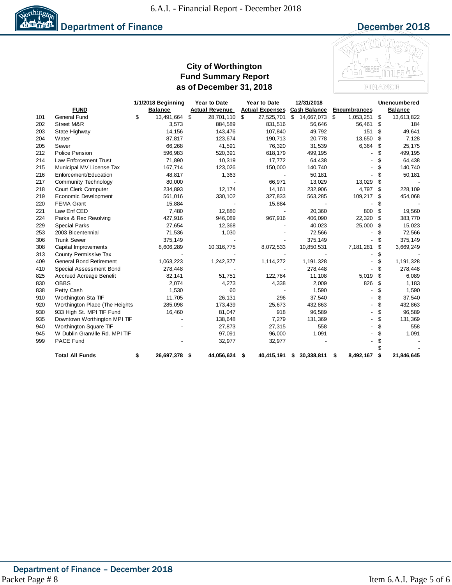

#### **City of Worthington Fund Summary Report as of December 31, 2018**



|     |                                | 1/1/2018 Beginning  | Year to Date          | Year to Date           |    | 12/31/2018          |                     |    | <b>Unencumbered</b> |
|-----|--------------------------------|---------------------|-----------------------|------------------------|----|---------------------|---------------------|----|---------------------|
|     | <b>FUND</b>                    | <b>Balance</b>      | <b>Actual Revenue</b> | <b>Actual Expenses</b> |    | <b>Cash Balance</b> | <b>Encumbrances</b> |    | Balance             |
| 101 | <b>General Fund</b>            | \$<br>13,491,664 \$ | 28,701,110            | \$<br>27,525,701       | \$ | 14,667,073 \$       | 1,053,251           | \$ | 13,613,822          |
| 202 | Street M&R                     | 3,573               | 884,589               | 831,516                |    | 56,646              | 56,461              | S  | 184                 |
| 203 | State Highway                  | 14,156              | 143,476               | 107,840                |    | 49,792              | 151                 | \$ | 49,641              |
| 204 | Water                          | 87,817              | 123,674               | 190,713                |    | 20,778              | 13,650              | \$ | 7,128               |
| 205 | Sewer                          | 66,268              | 41,591                | 76,320                 |    | 31,539              | 6,364               | \$ | 25,175              |
| 212 | <b>Police Pension</b>          | 596,983             | 520,391               | 618,179                |    | 499,195             |                     | \$ | 499,195             |
| 214 | <b>Law Enforcement Trust</b>   | 71,890              | 10,319                | 17,772                 |    | 64,438              |                     | \$ | 64,438              |
| 215 | Municipal MV License Tax       | 167,714             | 123,026               | 150,000                |    | 140,740             |                     | \$ | 140,740             |
| 216 | Enforcement/Education          | 48,817              | 1,363                 |                        |    | 50,181              |                     | \$ | 50,181              |
| 217 | <b>Community Technology</b>    | 80,000              |                       | 66,971                 |    | 13,029              | 13,029              | \$ |                     |
| 218 | Court Clerk Computer           | 234,893             | 12,174                | 14,161                 |    | 232,906             | 4,797               | S  | 228,109             |
| 219 | Economic Development           | 561,016             | 330,102               | 327,833                |    | 563,285             | 109,217             | \$ | 454,068             |
| 220 | <b>FEMA Grant</b>              | 15,884              |                       | 15,884                 |    |                     |                     | \$ |                     |
| 221 | Law Enf CED                    | 7,480               | 12,880                |                        |    | 20,360              | 800                 | \$ | 19,560              |
| 224 | Parks & Rec Revolving          | 427,916             | 946,089               | 967,916                |    | 406,090             | 22,320              | \$ | 383,770             |
| 229 | <b>Special Parks</b>           | 27,654              | 12,368                |                        |    | 40,023              | 25,000              | \$ | 15,023              |
| 253 | 2003 Bicentennial              | 71,536              | 1,030                 |                        |    | 72,566              |                     | \$ | 72,566              |
| 306 | <b>Trunk Sewer</b>             | 375,149             |                       |                        |    | 375,149             |                     |    | 375,149             |
| 308 | Capital Improvements           | 8,606,289           | 10,316,775            | 8,072,533              |    | 10,850,531          | 7,181,281           | \$ | 3,669,249           |
| 313 | County Permissive Tax          |                     |                       |                        |    |                     |                     | S  |                     |
| 409 | <b>General Bond Retirement</b> | 1,063,223           | 1,242,377             | 1,114,272              |    | 1,191,328           |                     |    | 1,191,328           |
| 410 | Special Assessment Bond        | 278,448             |                       |                        |    | 278,448             |                     | S  | 278,448             |
| 825 | <b>Accrued Acreage Benefit</b> | 82,141              | 51,751                | 122,784                |    | 11,108              | 5,019               | \$ | 6,089               |
| 830 | <b>OBBS</b>                    | 2,074               | 4,273                 | 4,338                  |    | 2,009               | 826                 | \$ | 1,183               |
| 838 | Petty Cash                     | 1,530               | 60                    |                        |    | 1,590               |                     | \$ | 1,590               |
| 910 | Worthington Sta TIF            | 11,705              | 26,131                | 296                    |    | 37,540              |                     | \$ | 37,540              |
| 920 | Worthington Place (The Heights | 285,098             | 173,439               | 25,673                 |    | 432,863             |                     | \$ | 432,863             |
| 930 | 933 High St. MPI TIF Fund      | 16,460              | 81,047                | 918                    |    | 96,589              |                     | \$ | 96,589              |
| 935 | Downtown Worthington MPI TIF   |                     | 138,648               | 7,279                  |    | 131,369             |                     | \$ | 131,369             |
| 940 | Worthington Square TIF         |                     | 27,873                | 27,315                 |    | 558                 |                     | \$ | 558                 |
| 945 | W Dublin Granville Rd. MPI TIF |                     | 97,091                | 96,000                 |    | 1,091               |                     |    | 1,091               |
| 999 | PACE Fund                      |                     | 32,977                | 32,977                 |    |                     |                     |    |                     |
|     |                                |                     |                       |                        |    |                     |                     |    |                     |
|     | <b>Total All Funds</b>         | \$<br>26,697,378 \$ | 44,056,624            | \$<br>40,415,191       | S  | 30,338,811          | \$<br>8,492,167     |    | 21,846,645          |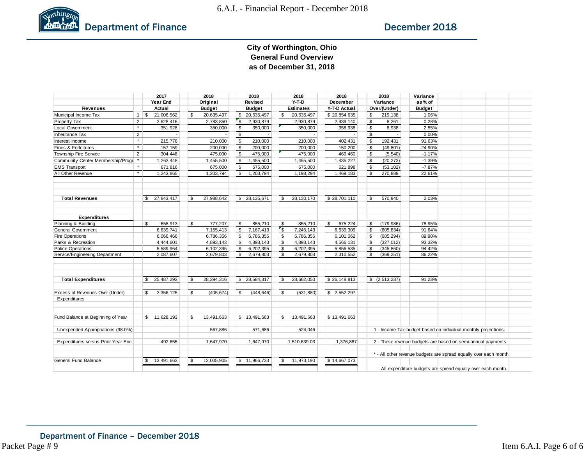

#### **City of Worthington, Ohio General Fund Overview as of December 31, 2018**

|                                                 |                | 2017              |          | 2018          |              | 2018                   |               | 2018             | 2018          |                           | 2018                                                        | Variance                                                          |  |  |  |
|-------------------------------------------------|----------------|-------------------|----------|---------------|--------------|------------------------|---------------|------------------|---------------|---------------------------|-------------------------------------------------------------|-------------------------------------------------------------------|--|--|--|
|                                                 |                | Year End          |          | Original      |              | Revised                |               | $Y-T-D$          | December      |                           | Variance                                                    | as% of                                                            |  |  |  |
| <b>Revenues</b>                                 |                | Actual            |          | <b>Budget</b> |              | <b>Budget</b>          |               | <b>Estimates</b> | Y-T-D Actual  |                           | Over/(Under)                                                | <b>Budget</b>                                                     |  |  |  |
| Municipal Income Tax                            | $\mathbf{1}$   | ∣\$<br>21,006,562 | \$       | 20,635,497    | \$           | 20,635,497             | \$            | 20,635,497       | \$20,854,635  | \$                        | 219,138                                                     | 1.06%                                                             |  |  |  |
| Property Tax                                    | $\overline{2}$ | 2,628,416         |          | 2,783,850     | $\mathsf{S}$ | 2,930,879              |               | 2,930,879        | 2,939,140     | \$                        | 8,261                                                       | 0.28%                                                             |  |  |  |
| Local Government                                | $\star$        | 351,928           |          | 350,000       | \$           | 350,000                |               | 350,000          | 358,938       | $\overline{\mathfrak{s}}$ | 8,938                                                       | 2.55%                                                             |  |  |  |
| <b>Inheritance Tax</b>                          | 2              |                   |          |               | <b>S</b>     |                        |               |                  |               | \$                        |                                                             | 0.00%                                                             |  |  |  |
| Interest Income                                 | $\pmb{\ast}$   | 215,776           |          | 210,000       | <b>S</b>     | 210,000                |               | 210,000          | 402,431       | \$                        | 192,431                                                     | 91.63%                                                            |  |  |  |
| Fines & Forfeitures                             | $\pmb{\ast}$   | 157,159           |          | 200,000       | ၊ န          | 200,000                |               | 200,000          | 150,200       | <b>S</b>                  | (49, 801)                                                   | $-24.90%$                                                         |  |  |  |
| Township Fire Service                           | 2              | 304,448           |          | 475,000       | ' S          | 475,000                |               | 475,000          | 469,460       | $\mathfrak{s}$            | (5, 540)                                                    | $-1.17%$                                                          |  |  |  |
| Community Center Membership/Progr               |                | 1,263,448         |          | 1,455,500     | <b>S</b>     | 1,455,500              |               | 1,455,500        | 1,435,227     | \$                        | (20, 273)                                                   | $-1.39%$                                                          |  |  |  |
| <b>EMS Transport</b>                            |                | 671,816           |          | 675,000       | <b>S</b>     | 675,000                |               | 675,000          | 621,898       | \$                        | (53, 102)                                                   | $-7.87%$                                                          |  |  |  |
| All Other Revenue                               | $\pmb{\ast}$   | 1,243,865         |          | 1,203,794     | \$           | 1,203,794              |               | 1,198,294        | 1,469,183     | \$                        | 270,889                                                     | 22.61%                                                            |  |  |  |
| <b>Total Revenues</b>                           |                | 27,843,417<br>\$  | <b>S</b> | 27,988,642    |              | \$ 28,135,671          | \$            | 28, 130, 170     | \$28,701,110  | \$                        | 570,940                                                     | 2.03%                                                             |  |  |  |
| <b>Expenditures</b>                             |                |                   |          |               |              |                        |               |                  |               |                           |                                                             |                                                                   |  |  |  |
| Planning & Building                             |                | \$<br>658,913     | \$       | 777,207       | \$           | 855,210                | \$            | 855,210          | \$<br>675,224 | \$                        | (179, 986)                                                  | 78.95%                                                            |  |  |  |
| General Government                              |                | 6,639,741         |          | 7,155,413     | \$           | $\overline{7,167,413}$ | $\sqrt{3}$    | 7,245,143        | 6,639,309     | \$                        | (605, 834)                                                  | 91.64%                                                            |  |  |  |
| <b>Fire Operations</b>                          |                | 6,066,466         |          | 6,786,356     | <b>S</b>     | 6,786,356              | $\mathfrak s$ | 6,786,356        | 6,101,062     | <b>S</b>                  | (685, 294)                                                  | 89.90%                                                            |  |  |  |
| Parks & Recreation                              |                | 4,444,601         |          | 4,893,143     | S.           | 4,893,143              | \$            | 4,893,143        | 4,566,131     | <b>S</b>                  | (327, 012)                                                  | 93.32%                                                            |  |  |  |
| <b>Police Operations</b>                        |                | 5,589,964         |          | 6,102,395     | <b>S</b>     | 6,202,395              | <b>S</b>      | 6,202,395        | 5,856,535     | <b>S</b>                  | (345, 860)                                                  | 94.42%                                                            |  |  |  |
| Service/Engineering Department                  |                | 2,087,607         |          | 2,679,803     | \$           | 2,679,803              | \$            | 2,679,803        | 2,310,552     | \$                        | (369, 251)                                                  | 86.22%                                                            |  |  |  |
| <b>Total Expenditures</b>                       |                | \$<br>25,487,293  | \$       | 28,394,316    |              | \$28,584,317           | \$            | 28,662,050       | \$26,148,813  |                           | \$ (2,513,237)                                              | 91.23%                                                            |  |  |  |
|                                                 |                |                   |          |               |              |                        |               |                  |               |                           |                                                             |                                                                   |  |  |  |
| Excess of Revenues Over (Under)<br>Expenditures |                | \$<br>2,356,125   | \$       | (405, 674)    | S.           | (448, 646)             | \$            | (531, 880)       | \$2,552,297   |                           |                                                             |                                                                   |  |  |  |
| Fund Balance at Beginning of Year               |                | \$11,628,193      | \$       | 13,491,663    |              | \$13,491,663           | \$            | 13,491,663       | \$13,491,663  |                           |                                                             |                                                                   |  |  |  |
| Unexpended Appropriations (98.0%)               |                |                   |          | 567,886       |              | 571,686                |               | 524,046          |               |                           |                                                             | 1 - Income Tax budget based on individual monthly projections.    |  |  |  |
| Expenditures versus Prior Year Enc              |                | 492.655           |          | 1,647,970     |              | 1,647,970              |               | 1,510,639.03     | 1,376,887     |                           |                                                             | 2 - These revenue budgets are based on semi-annual payments.      |  |  |  |
|                                                 |                |                   |          |               |              |                        |               |                  |               |                           |                                                             | * - All other revenue budgets are spread equally over each month. |  |  |  |
| General Fund Balance                            |                | 13,491,663<br>\$  | \$       | 12.005.905    |              | \$11,966,733           | \$            | 11.973.190       | \$14,667,073  |                           | All expenditure budgets are spread equally over each month. |                                                                   |  |  |  |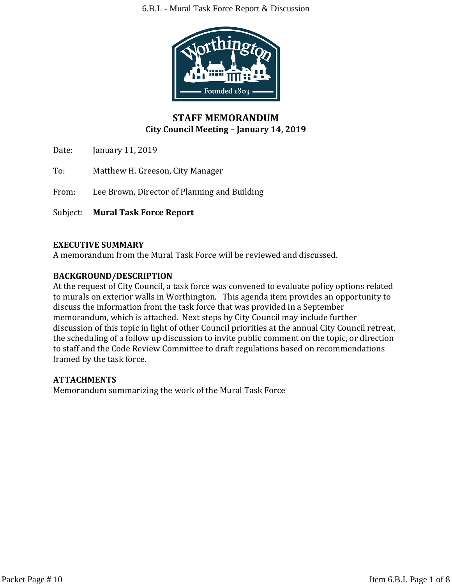#### 6.B.I. - Mural Task Force Report & Discussion



## **STAFF MEMORANDUM City Council Meeting – January 14, 2019**

Date: January 11, 2019

To: Matthew H. Greeson, City Manager

From: Lee Brown, Director of Planning and Building

Subject: **Mural Task Force Report**

#### **EXECUTIVE SUMMARY**

A memorandum from the Mural Task Force will be reviewed and discussed.

#### **BACKGROUND/DESCRIPTION**

At the request of City Council, a task force was convened to evaluate policy options related to murals on exterior walls in Worthington. This agenda item provides an opportunity to discuss the information from the task force that was provided in a September memorandum, which is attached. Next steps by City Council may include further discussion of this topic in light of other Council priorities at the annual City Council retreat, the scheduling of a follow up discussion to invite public comment on the topic, or direction to staff and the Code Review Committee to draft regulations based on recommendations framed by the task force.

#### **ATTACHMENTS**

Memorandum summarizing the work of the Mural Task Force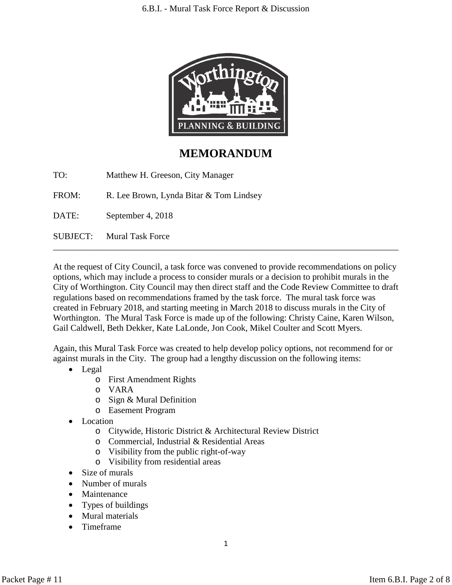

# **MEMORANDUM**

TO: Matthew H. Greeson, City Manager

FROM: R. Lee Brown, Lynda Bitar & Tom Lindsey

DATE: September 4, 2018

SUBJECT: Mural Task Force

At the request of City Council, a task force was convened to provide recommendations on policy options, which may include a process to consider murals or a decision to prohibit murals in the City of Worthington. City Council may then direct staff and the Code Review Committee to draft regulations based on recommendations framed by the task force. The mural task force was created in February 2018, and starting meeting in March 2018 to discuss murals in the City of Worthington. The Mural Task Force is made up of the following: Christy Caine, Karen Wilson, Gail Caldwell, Beth Dekker, Kate LaLonde, Jon Cook, Mikel Coulter and Scott Myers.

\_\_\_\_\_\_\_\_\_\_\_\_\_\_\_\_\_\_\_\_\_\_\_\_\_\_\_\_\_\_\_\_\_\_\_\_\_\_\_\_\_\_\_\_\_\_\_\_\_\_\_\_\_\_\_\_\_\_\_\_\_\_\_\_\_\_\_\_\_\_\_\_\_\_\_\_\_\_

Again, this Mural Task Force was created to help develop policy options, not recommend for or against murals in the City. The group had a lengthy discussion on the following items:

- Legal
	- o First Amendment Rights
	- o VARA
	- o Sign & Mural Definition
	- o Easement Program
- **Location** 
	- o Citywide, Historic District & Architectural Review District
	- o Commercial, Industrial & Residential Areas
	- o Visibility from the public right-of-way
	- o Visibility from residential areas
- Size of murals
- Number of murals
- Maintenance
- Types of buildings
- Mural materials
- Timeframe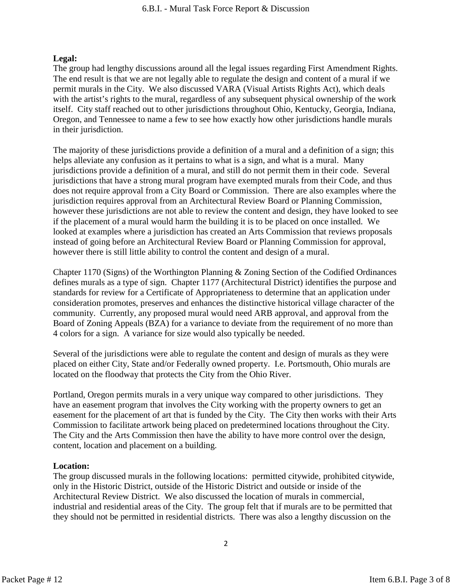#### **Legal:**

The group had lengthy discussions around all the legal issues regarding First Amendment Rights. The end result is that we are not legally able to regulate the design and content of a mural if we permit murals in the City. We also discussed VARA (Visual Artists Rights Act), which deals with the artist's rights to the mural, regardless of any subsequent physical ownership of the work itself. City staff reached out to other jurisdictions throughout Ohio, Kentucky, Georgia, Indiana, Oregon, and Tennessee to name a few to see how exactly how other jurisdictions handle murals in their jurisdiction.

The majority of these jurisdictions provide a definition of a mural and a definition of a sign; this helps alleviate any confusion as it pertains to what is a sign, and what is a mural. Many jurisdictions provide a definition of a mural, and still do not permit them in their code. Several jurisdictions that have a strong mural program have exempted murals from their Code, and thus does not require approval from a City Board or Commission. There are also examples where the jurisdiction requires approval from an Architectural Review Board or Planning Commission, however these jurisdictions are not able to review the content and design, they have looked to see if the placement of a mural would harm the building it is to be placed on once installed. We looked at examples where a jurisdiction has created an Arts Commission that reviews proposals instead of going before an Architectural Review Board or Planning Commission for approval, however there is still little ability to control the content and design of a mural.

Chapter 1170 (Signs) of the Worthington Planning & Zoning Section of the Codified Ordinances defines murals as a type of sign. Chapter 1177 (Architectural District) identifies the purpose and standards for review for a Certificate of Appropriateness to determine that an application under consideration promotes, preserves and enhances the distinctive historical village character of the community. Currently, any proposed mural would need ARB approval, and approval from the Board of Zoning Appeals (BZA) for a variance to deviate from the requirement of no more than 4 colors for a sign. A variance for size would also typically be needed.

Several of the jurisdictions were able to regulate the content and design of murals as they were placed on either City, State and/or Federally owned property. I.e. Portsmouth, Ohio murals are located on the floodway that protects the City from the Ohio River.

Portland, Oregon permits murals in a very unique way compared to other jurisdictions. They have an easement program that involves the City working with the property owners to get an easement for the placement of art that is funded by the City. The City then works with their Arts Commission to facilitate artwork being placed on predetermined locations throughout the City. The City and the Arts Commission then have the ability to have more control over the design, content, location and placement on a building.

#### **Location:**

The group discussed murals in the following locations: permitted citywide, prohibited citywide, only in the Historic District, outside of the Historic District and outside or inside of the Architectural Review District. We also discussed the location of murals in commercial, industrial and residential areas of the City. The group felt that if murals are to be permitted that they should not be permitted in residential districts. There was also a lengthy discussion on the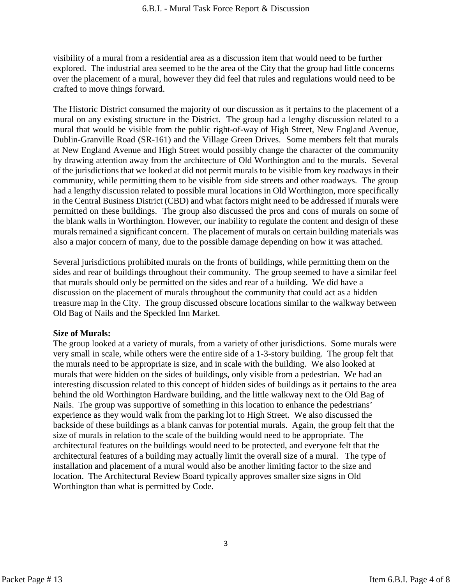visibility of a mural from a residential area as a discussion item that would need to be further explored. The industrial area seemed to be the area of the City that the group had little concerns over the placement of a mural, however they did feel that rules and regulations would need to be crafted to move things forward.

The Historic District consumed the majority of our discussion as it pertains to the placement of a mural on any existing structure in the District. The group had a lengthy discussion related to a mural that would be visible from the public right-of-way of High Street, New England Avenue, Dublin-Granville Road (SR-161) and the Village Green Drives. Some members felt that murals at New England Avenue and High Street would possibly change the character of the community by drawing attention away from the architecture of Old Worthington and to the murals. Several of the jurisdictions that we looked at did not permit murals to be visible from key roadways in their community, while permitting them to be visible from side streets and other roadways. The group had a lengthy discussion related to possible mural locations in Old Worthington, more specifically in the Central Business District (CBD) and what factors might need to be addressed if murals were permitted on these buildings. The group also discussed the pros and cons of murals on some of the blank walls in Worthington. However, our inability to regulate the content and design of these murals remained a significant concern. The placement of murals on certain building materials was also a major concern of many, due to the possible damage depending on how it was attached.

Several jurisdictions prohibited murals on the fronts of buildings, while permitting them on the sides and rear of buildings throughout their community. The group seemed to have a similar feel that murals should only be permitted on the sides and rear of a building. We did have a discussion on the placement of murals throughout the community that could act as a hidden treasure map in the City. The group discussed obscure locations similar to the walkway between Old Bag of Nails and the Speckled Inn Market.

#### **Size of Murals:**

The group looked at a variety of murals, from a variety of other jurisdictions. Some murals were very small in scale, while others were the entire side of a 1-3-story building. The group felt that the murals need to be appropriate is size, and in scale with the building. We also looked at murals that were hidden on the sides of buildings, only visible from a pedestrian. We had an interesting discussion related to this concept of hidden sides of buildings as it pertains to the area behind the old Worthington Hardware building, and the little walkway next to the Old Bag of Nails. The group was supportive of something in this location to enhance the pedestrians' experience as they would walk from the parking lot to High Street. We also discussed the backside of these buildings as a blank canvas for potential murals. Again, the group felt that the size of murals in relation to the scale of the building would need to be appropriate. The architectural features on the buildings would need to be protected, and everyone felt that the architectural features of a building may actually limit the overall size of a mural. The type of installation and placement of a mural would also be another limiting factor to the size and location. The Architectural Review Board typically approves smaller size signs in Old Worthington than what is permitted by Code.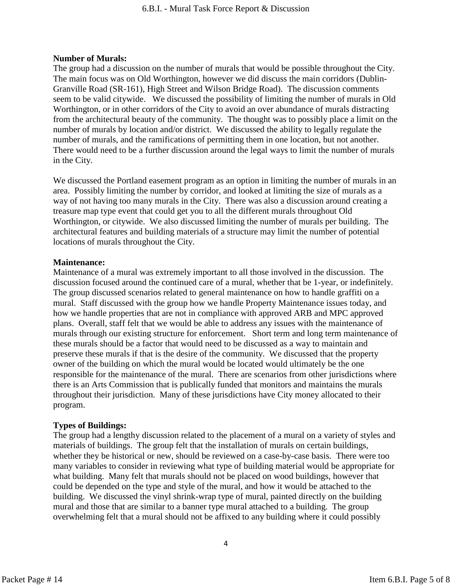#### **Number of Murals:**

The group had a discussion on the number of murals that would be possible throughout the City. The main focus was on Old Worthington, however we did discuss the main corridors (Dublin-Granville Road (SR-161), High Street and Wilson Bridge Road). The discussion comments seem to be valid citywide. We discussed the possibility of limiting the number of murals in Old Worthington, or in other corridors of the City to avoid an over abundance of murals distracting from the architectural beauty of the community. The thought was to possibly place a limit on the number of murals by location and/or district. We discussed the ability to legally regulate the number of murals, and the ramifications of permitting them in one location, but not another. There would need to be a further discussion around the legal ways to limit the number of murals in the City.

We discussed the Portland easement program as an option in limiting the number of murals in an area. Possibly limiting the number by corridor, and looked at limiting the size of murals as a way of not having too many murals in the City. There was also a discussion around creating a treasure map type event that could get you to all the different murals throughout Old Worthington, or citywide. We also discussed limiting the number of murals per building. The architectural features and building materials of a structure may limit the number of potential locations of murals throughout the City.

#### **Maintenance:**

Maintenance of a mural was extremely important to all those involved in the discussion. The discussion focused around the continued care of a mural, whether that be 1-year, or indefinitely. The group discussed scenarios related to general maintenance on how to handle graffiti on a mural. Staff discussed with the group how we handle Property Maintenance issues today, and how we handle properties that are not in compliance with approved ARB and MPC approved plans. Overall, staff felt that we would be able to address any issues with the maintenance of murals through our existing structure for enforcement. Short term and long term maintenance of these murals should be a factor that would need to be discussed as a way to maintain and preserve these murals if that is the desire of the community. We discussed that the property owner of the building on which the mural would be located would ultimately be the one responsible for the maintenance of the mural. There are scenarios from other jurisdictions where there is an Arts Commission that is publically funded that monitors and maintains the murals throughout their jurisdiction. Many of these jurisdictions have City money allocated to their program.

#### **Types of Buildings:**

The group had a lengthy discussion related to the placement of a mural on a variety of styles and materials of buildings. The group felt that the installation of murals on certain buildings, whether they be historical or new, should be reviewed on a case-by-case basis. There were too many variables to consider in reviewing what type of building material would be appropriate for what building. Many felt that murals should not be placed on wood buildings, however that could be depended on the type and style of the mural, and how it would be attached to the building. We discussed the vinyl shrink-wrap type of mural, painted directly on the building mural and those that are similar to a banner type mural attached to a building. The group overwhelming felt that a mural should not be affixed to any building where it could possibly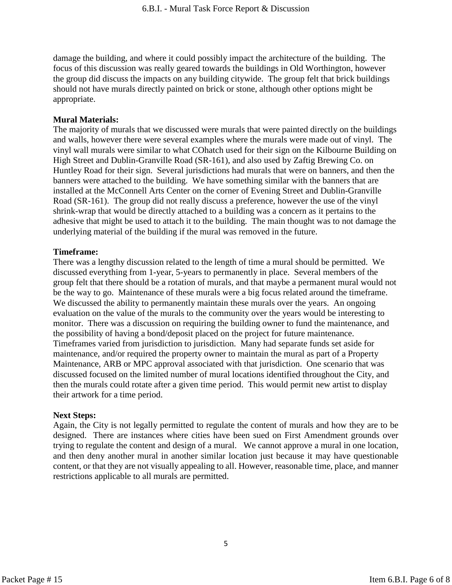damage the building, and where it could possibly impact the architecture of the building. The focus of this discussion was really geared towards the buildings in Old Worthington, however the group did discuss the impacts on any building citywide. The group felt that brick buildings should not have murals directly painted on brick or stone, although other options might be appropriate.

#### **Mural Materials:**

The majority of murals that we discussed were murals that were painted directly on the buildings and walls, however there were several examples where the murals were made out of vinyl. The vinyl wall murals were similar to what COhatch used for their sign on the Kilbourne Building on High Street and Dublin-Granville Road (SR-161), and also used by Zaftig Brewing Co. on Huntley Road for their sign. Several jurisdictions had murals that were on banners, and then the banners were attached to the building. We have something similar with the banners that are installed at the McConnell Arts Center on the corner of Evening Street and Dublin-Granville Road (SR-161). The group did not really discuss a preference, however the use of the vinyl shrink-wrap that would be directly attached to a building was a concern as it pertains to the adhesive that might be used to attach it to the building. The main thought was to not damage the underlying material of the building if the mural was removed in the future.

#### **Timeframe:**

There was a lengthy discussion related to the length of time a mural should be permitted. We discussed everything from 1-year, 5-years to permanently in place. Several members of the group felt that there should be a rotation of murals, and that maybe a permanent mural would not be the way to go. Maintenance of these murals were a big focus related around the timeframe. We discussed the ability to permanently maintain these murals over the years. An ongoing evaluation on the value of the murals to the community over the years would be interesting to monitor. There was a discussion on requiring the building owner to fund the maintenance, and the possibility of having a bond/deposit placed on the project for future maintenance. Timeframes varied from jurisdiction to jurisdiction. Many had separate funds set aside for maintenance, and/or required the property owner to maintain the mural as part of a Property Maintenance, ARB or MPC approval associated with that jurisdiction. One scenario that was discussed focused on the limited number of mural locations identified throughout the City, and then the murals could rotate after a given time period. This would permit new artist to display their artwork for a time period.

#### **Next Steps:**

Again, the City is not legally permitted to regulate the content of murals and how they are to be designed. There are instances where cities have been sued on First Amendment grounds over trying to regulate the content and design of a mural. We cannot approve a mural in one location, and then deny another mural in another similar location just because it may have questionable content, or that they are not visually appealing to all. However, reasonable time, place, and manner restrictions applicable to all murals are permitted.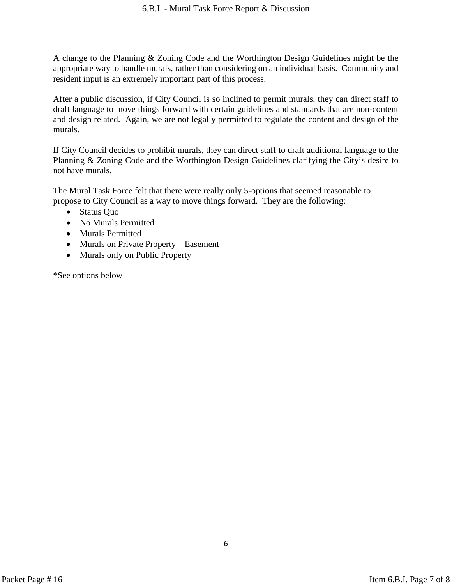A change to the Planning & Zoning Code and the Worthington Design Guidelines might be the appropriate way to handle murals, rather than considering on an individual basis. Community and resident input is an extremely important part of this process.

After a public discussion, if City Council is so inclined to permit murals, they can direct staff to draft language to move things forward with certain guidelines and standards that are non-content and design related. Again, we are not legally permitted to regulate the content and design of the murals.

If City Council decides to prohibit murals, they can direct staff to draft additional language to the Planning & Zoning Code and the Worthington Design Guidelines clarifying the City's desire to not have murals.

The Mural Task Force felt that there were really only 5-options that seemed reasonable to propose to City Council as a way to move things forward. They are the following:

- Status Quo
- No Murals Permitted
- Murals Permitted
- Murals on Private Property Easement
- Murals only on Public Property

\*See options below